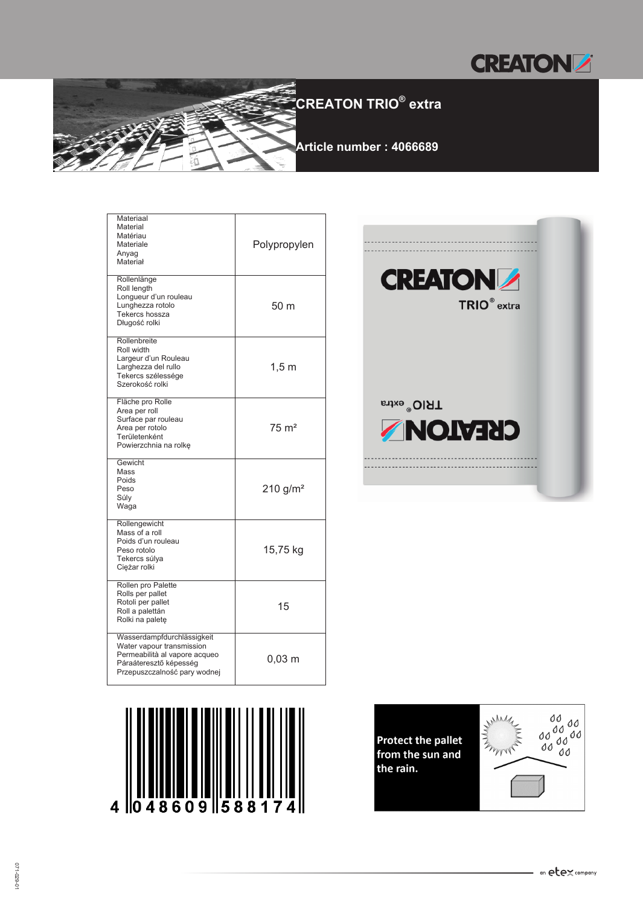



| Materiaal<br>Material<br>Matériau<br>Materiale<br>Anyag<br>Materiał                                                                                | Polypropylen         |
|----------------------------------------------------------------------------------------------------------------------------------------------------|----------------------|
| Rollenlänge<br>Roll length<br>Longueur d'un rouleau<br>Lunghezza rotolo<br>Tekercs hossza<br>Długość rolki                                         | 50 m                 |
| Rollenbreite<br>Roll width<br>Largeur d'un Rouleau<br>Larghezza del rullo<br>Tekercs szélessége<br>Szerokość rolki                                 | $1,5 \; \mathrm{m}$  |
| Fläche pro Rolle<br>Area per roll<br>Surface par rouleau<br>Area per rotolo<br>Területenként<br>Powierzchnia na rolkę                              | $75 \text{ m}^2$     |
| Gewicht<br>Mass<br>Poids<br>Peso<br>Súly<br>Waga                                                                                                   | 210 g/m <sup>2</sup> |
| Rollengewicht<br>Mass of a roll<br>Poids d'un rouleau<br>Peso rotolo<br>Tekercs súlya<br>Ciężar rolki                                              | 15,75 kg             |
| Rollen pro Palette<br>Rolls per pallet<br>Rotoli per pallet<br>Roll a palettán<br>Rolki na paletę                                                  | 15                   |
| Wasserdampfdurchlässigkeit<br>Water vapour transmission<br>Permeabilità al vapore acqueo<br>Páraáteresztő képesség<br>Przepuszczalność pary wodnej | 0,03 m               |





**Protect the pallet** from the sun and the rain.

 $\blacksquare$